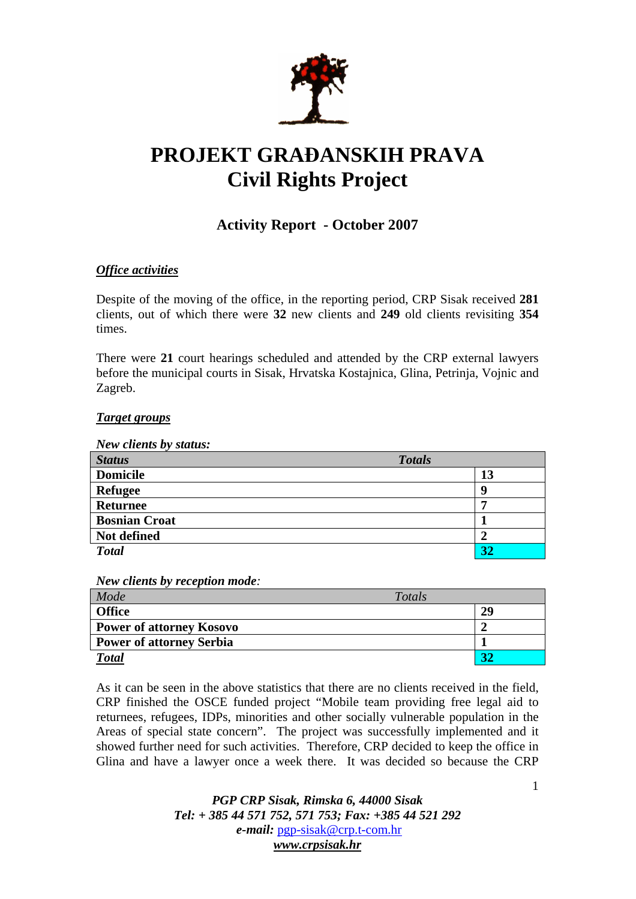

# **PROJEKT GRA**Đ**ANSKIH PRAVA Civil Rights Project**

# **Activity Report - October 2007**

# *Office activities*

Despite of the moving of the office, in the reporting period, CRP Sisak received **281** clients, out of which there were **32** new clients and **249** old clients revisiting **354**  times.

There were **21** court hearings scheduled and attended by the CRP external lawyers before the municipal courts in Sisak, Hrvatska Kostajnica, Glina, Petrinja, Vojnic and Zagreb.

#### *Target groups*

*New clients by status:* 

| <b>Status</b>        | <b>Totals</b> |
|----------------------|---------------|
| <b>Domicile</b>      | 13            |
| <b>Refugee</b>       | q             |
| <b>Returnee</b>      |               |
| <b>Bosnian Croat</b> |               |
| Not defined          |               |
| <b>Total</b>         | 32            |

*New clients by reception mode:* 

| Mode                            | Totals |    |
|---------------------------------|--------|----|
| <b>Office</b>                   |        | 29 |
| <b>Power of attorney Kosovo</b> |        |    |
| <b>Power of attorney Serbia</b> |        |    |
| <b>Total</b>                    |        |    |

As it can be seen in the above statistics that there are no clients received in the field, CRP finished the OSCE funded project "Mobile team providing free legal aid to returnees, refugees, IDPs, minorities and other socially vulnerable population in the Areas of special state concern". The project was successfully implemented and it showed further need for such activities. Therefore, CRP decided to keep the office in Glina and have a lawyer once a week there. It was decided so because the CRP

> *PGP CRP Sisak, Rimska 6, 44000 Sisak Tel: + 385 44 571 752, 571 753; Fax: +385 44 521 292 e-mail:* pgp-sisak@crp.t-com.hr *www.crpsisak.hr*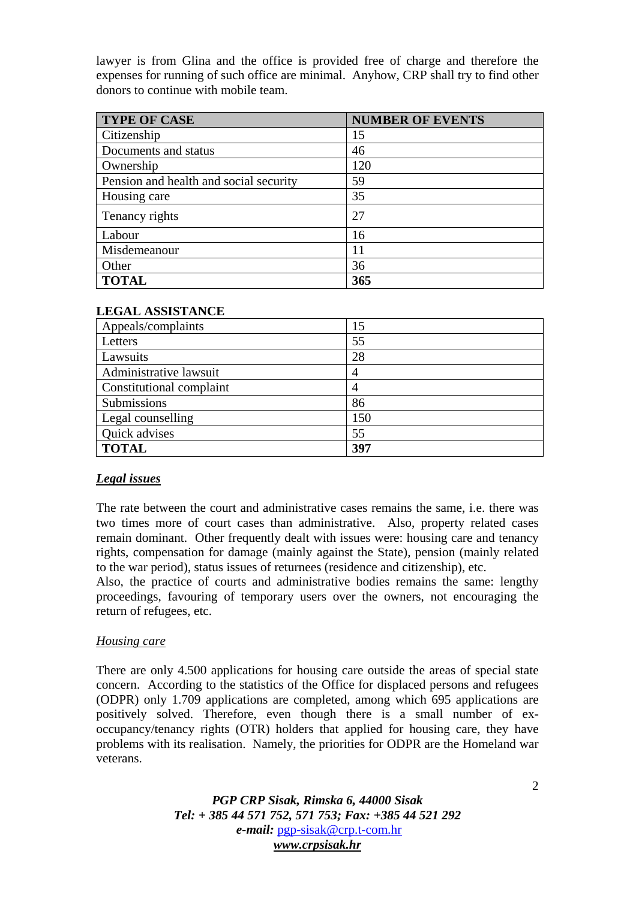lawyer is from Glina and the office is provided free of charge and therefore the expenses for running of such office are minimal. Anyhow, CRP shall try to find other donors to continue with mobile team.

| <b>TYPE OF CASE</b>                    | <b>NUMBER OF EVENTS</b> |
|----------------------------------------|-------------------------|
| Citizenship                            | 15                      |
| Documents and status                   | 46                      |
| Ownership                              | 120                     |
| Pension and health and social security | 59                      |
| Housing care                           | 35                      |
| Tenancy rights                         | 27                      |
| Labour                                 | 16                      |
| Misdemeanour                           | 11                      |
| Other                                  | 36                      |
| <b>TOTAL</b>                           | 365                     |

|  |  |  | <b>LEGAL ASSISTANCE</b> |  |
|--|--|--|-------------------------|--|
|  |  |  |                         |  |

| Appeals/complaints       | 15  |
|--------------------------|-----|
| Letters                  | 55  |
| Lawsuits                 | 28  |
| Administrative lawsuit   |     |
| Constitutional complaint |     |
| Submissions              | 86  |
| Legal counselling        | 150 |
| Quick advises            | 55  |
| <b>TOTAL</b>             | 397 |

# *Legal issues*

The rate between the court and administrative cases remains the same, i.e. there was two times more of court cases than administrative. Also, property related cases remain dominant. Other frequently dealt with issues were: housing care and tenancy rights, compensation for damage (mainly against the State), pension (mainly related to the war period), status issues of returnees (residence and citizenship), etc.

Also, the practice of courts and administrative bodies remains the same: lengthy proceedings, favouring of temporary users over the owners, not encouraging the return of refugees, etc.

# *Housing care*

There are only 4.500 applications for housing care outside the areas of special state concern. According to the statistics of the Office for displaced persons and refugees (ODPR) only 1.709 applications are completed, among which 695 applications are positively solved. Therefore, even though there is a small number of exoccupancy/tenancy rights (OTR) holders that applied for housing care, they have problems with its realisation. Namely, the priorities for ODPR are the Homeland war veterans.

> *PGP CRP Sisak, Rimska 6, 44000 Sisak Tel: + 385 44 571 752, 571 753; Fax: +385 44 521 292 e-mail:* pgp-sisak@crp.t-com.hr *www.crpsisak.hr*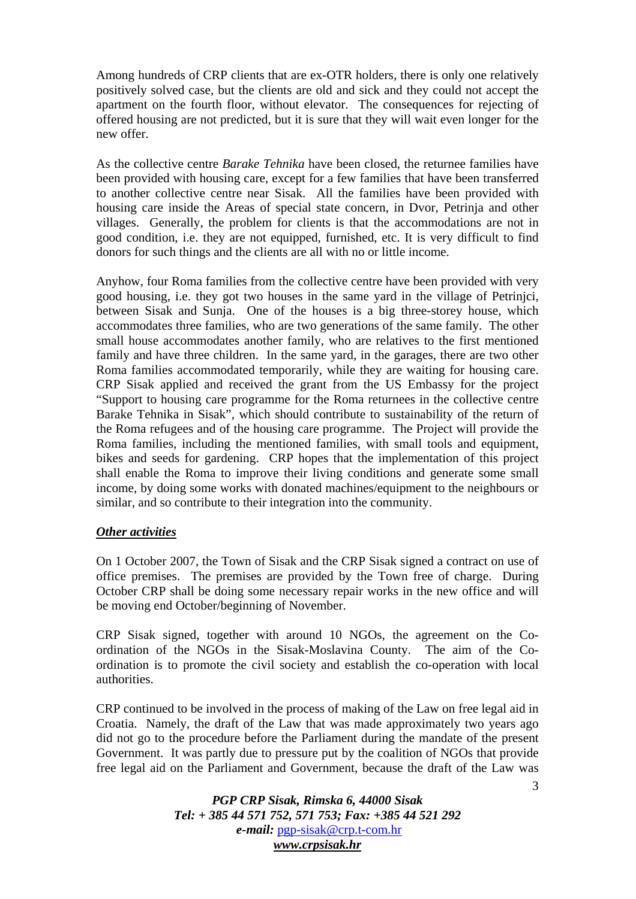Among hundreds of CRP clients that are ex-OTR holders, there is only one relatively positively solved case, but the clients are old and sick and they could not accept the apartment on the fourth floor, without elevator. The consequences for rejecting of offered housing are not predicted, but it is sure that they will wait even longer for the new offer.

As the collective centre *Barake Tehnika* have been closed, the returnee families have been provided with housing care, except for a few families that have been transferred to another collective centre near Sisak. All the families have been provided with housing care inside the Areas of special state concern, in Dvor, Petrinja and other villages. Generally, the problem for clients is that the accommodations are not in good condition, i.e. they are not equipped, furnished, etc. It is very difficult to find donors for such things and the clients are all with no or little income.

Anyhow, four Roma families from the collective centre have been provided with very good housing, i.e. they got two houses in the same yard in the village of Petrinjci, between Sisak and Sunja. One of the houses is a big three-storey house, which accommodates three families, who are two generations of the same family. The other small house accommodates another family, who are relatives to the first mentioned family and have three children. In the same yard, in the garages, there are two other Roma families accommodated temporarily, while they are waiting for housing care. CRP Sisak applied and received the grant from the US Embassy for the project "Support to housing care programme for the Roma returnees in the collective centre Barake Tehnika in Sisak", which should contribute to sustainability of the return of the Roma refugees and of the housing care programme. The Project will provide the Roma families, including the mentioned families, with small tools and equipment, bikes and seeds for gardening. CRP hopes that the implementation of this project shall enable the Roma to improve their living conditions and generate some small income, by doing some works with donated machines/equipment to the neighbours or similar, and so contribute to their integration into the community.

# *Other activities*

On 1 October 2007, the Town of Sisak and the CRP Sisak signed a contract on use of office premises. The premises are provided by the Town free of charge. During October CRP shall be doing some necessary repair works in the new office and will be moving end October/beginning of November.

CRP Sisak signed, together with around 10 NGOs, the agreement on the Coordination of the NGOs in the Sisak-Moslavina County. The aim of the Coordination is to promote the civil society and establish the co-operation with local authorities.

CRP continued to be involved in the process of making of the Law on free legal aid in Croatia. Namely, the draft of the Law that was made approximately two years ago did not go to the procedure before the Parliament during the mandate of the present Government. It was partly due to pressure put by the coalition of NGOs that provide free legal aid on the Parliament and Government, because the draft of the Law was